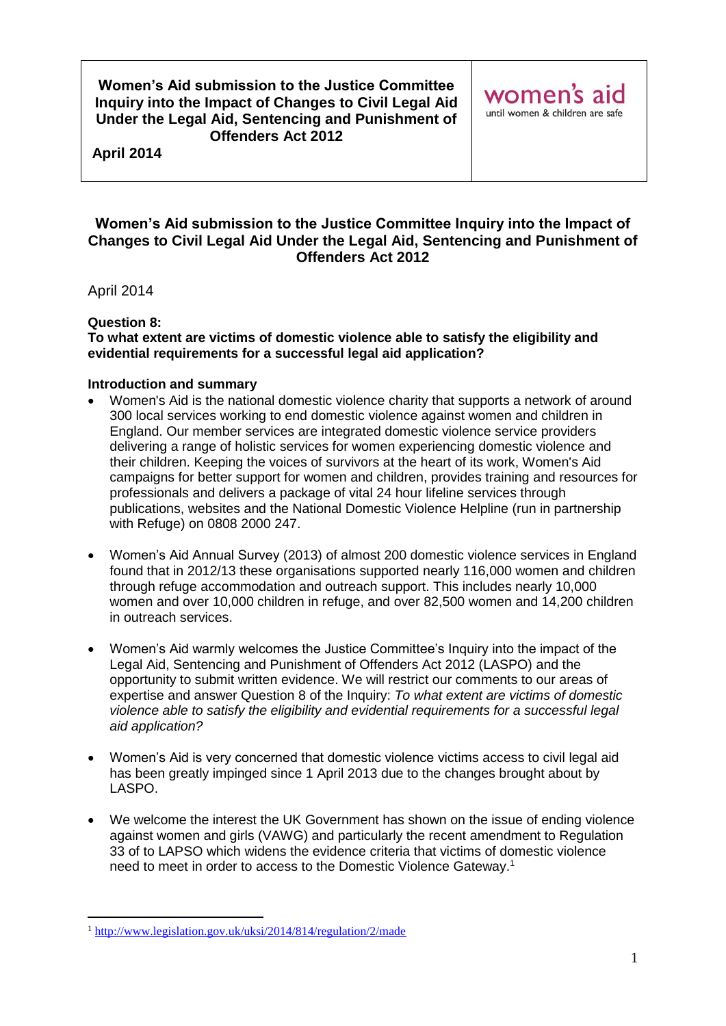**April 2014**

## **Women's Aid submission to the Justice Committee Inquiry into the Impact of Changes to Civil Legal Aid Under the Legal Aid, Sentencing and Punishment of Offenders Act 2012**

April 2014

## **Question 8:**

1

#### **To what extent are victims of domestic violence able to satisfy the eligibility and evidential requirements for a successful legal aid application?**

#### **Introduction and summary**

- Women's Aid is the national domestic violence charity that supports a network of around 300 local services working to end domestic violence against women and children in England. Our member services are integrated domestic violence service providers delivering a range of holistic services for women experiencing domestic violence and their children. Keeping the voices of survivors at the heart of its work, Women's Aid campaigns for better support for women and children, provides training and resources for professionals and delivers a package of vital 24 hour lifeline services through publications, websites and the National Domestic Violence Helpline (run in partnership with Refuge) on 0808 2000 247.
- Women's Aid Annual Survey (2013) of almost 200 domestic violence services in England found that in 2012/13 these organisations supported nearly 116,000 women and children through refuge accommodation and outreach support. This includes nearly 10,000 women and over 10,000 children in refuge, and over 82,500 women and 14,200 children in outreach services.
- Women's Aid warmly welcomes the Justice Committee's Inquiry into the impact of the Legal Aid, Sentencing and Punishment of Offenders Act 2012 (LASPO) and the opportunity to submit written evidence. We will restrict our comments to our areas of expertise and answer Question 8 of the Inquiry: *To what extent are victims of domestic violence able to satisfy the eligibility and evidential requirements for a successful legal aid application?*
- Women's Aid is very concerned that domestic violence victims access to civil legal aid has been greatly impinged since 1 April 2013 due to the changes brought about by LASPO.
- We welcome the interest the UK Government has shown on the issue of ending violence against women and girls (VAWG) and particularly the recent amendment to Regulation 33 of to LAPSO which widens the evidence criteria that victims of domestic violence need to meet in order to access to the Domestic Violence Gateway.<sup>1</sup>

<sup>1</sup> <http://www.legislation.gov.uk/uksi/2014/814/regulation/2/made>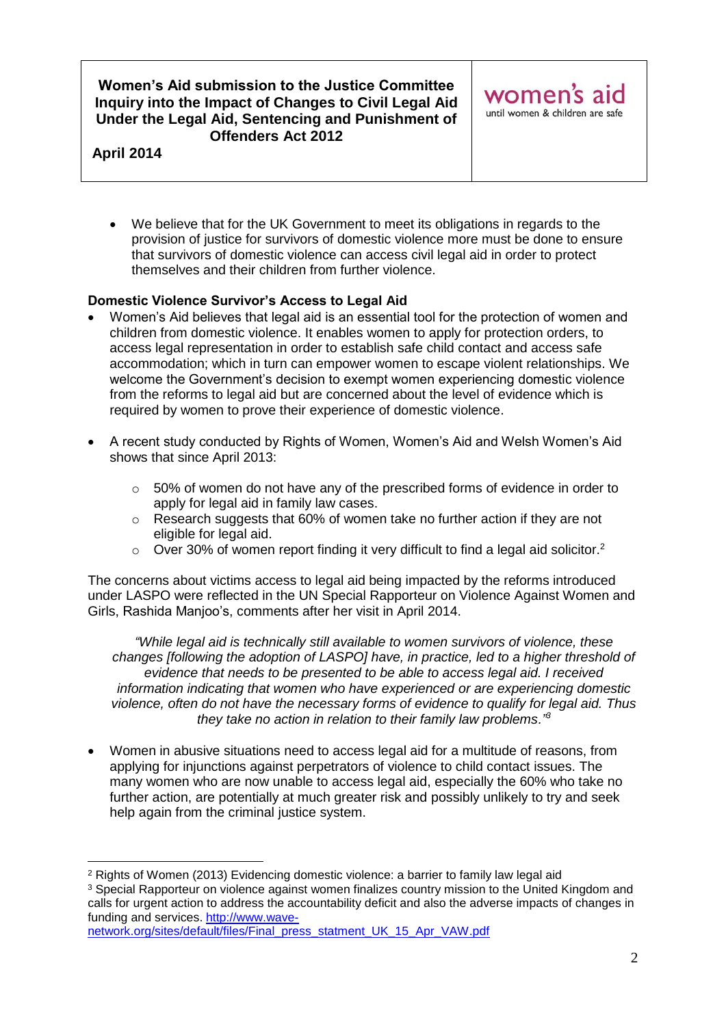**April 2014**

<u>.</u>

 We believe that for the UK Government to meet its obligations in regards to the provision of justice for survivors of domestic violence more must be done to ensure that survivors of domestic violence can access civil legal aid in order to protect themselves and their children from further violence.

## **Domestic Violence Survivor's Access to Legal Aid**

- Women's Aid believes that legal aid is an essential tool for the protection of women and children from domestic violence. It enables women to apply for protection orders, to access legal representation in order to establish safe child contact and access safe accommodation; which in turn can empower women to escape violent relationships. We welcome the Government's decision to exempt women experiencing domestic violence from the reforms to legal aid but are concerned about the level of evidence which is required by women to prove their experience of domestic violence.
- A recent study conducted by Rights of Women, Women's Aid and Welsh Women's Aid shows that since April 2013:
	- $\circ$  50% of women do not have any of the prescribed forms of evidence in order to apply for legal aid in family law cases.
	- o Research suggests that 60% of women take no further action if they are not eligible for legal aid.
	- $\circ$  Over 30% of women report finding it very difficult to find a legal aid solicitor.<sup>2</sup>

The concerns about victims access to legal aid being impacted by the reforms introduced under LASPO were reflected in the UN Special Rapporteur on Violence Against Women and Girls, Rashida Manjoo's, comments after her visit in April 2014.

*"While legal aid is technically still available to women survivors of violence, these changes [following the adoption of LASPO] have, in practice, led to a higher threshold of evidence that needs to be presented to be able to access legal aid. I received information indicating that women who have experienced or are experiencing domestic violence, often do not have the necessary forms of evidence to qualify for legal aid. Thus they take no action in relation to their family law problems."<sup>3</sup>*

 Women in abusive situations need to access legal aid for a multitude of reasons, from applying for injunctions against perpetrators of violence to child contact issues. The many women who are now unable to access legal aid, especially the 60% who take no further action, are potentially at much greater risk and possibly unlikely to try and seek help again from the criminal justice system.

<sup>3</sup> Special Rapporteur on violence against women finalizes country mission to the United Kingdom and calls for urgent action to address the accountability deficit and also the adverse impacts of changes in funding and services. [http://www.wave-](http://www.wave-network.org/sites/default/files/Final_press_statment_UK_15_Apr_VAW.pdf)

[network.org/sites/default/files/Final\\_press\\_statment\\_UK\\_15\\_Apr\\_VAW.pdf](http://www.wave-network.org/sites/default/files/Final_press_statment_UK_15_Apr_VAW.pdf)

<sup>2</sup> Rights of Women (2013) Evidencing domestic violence: a barrier to family law legal aid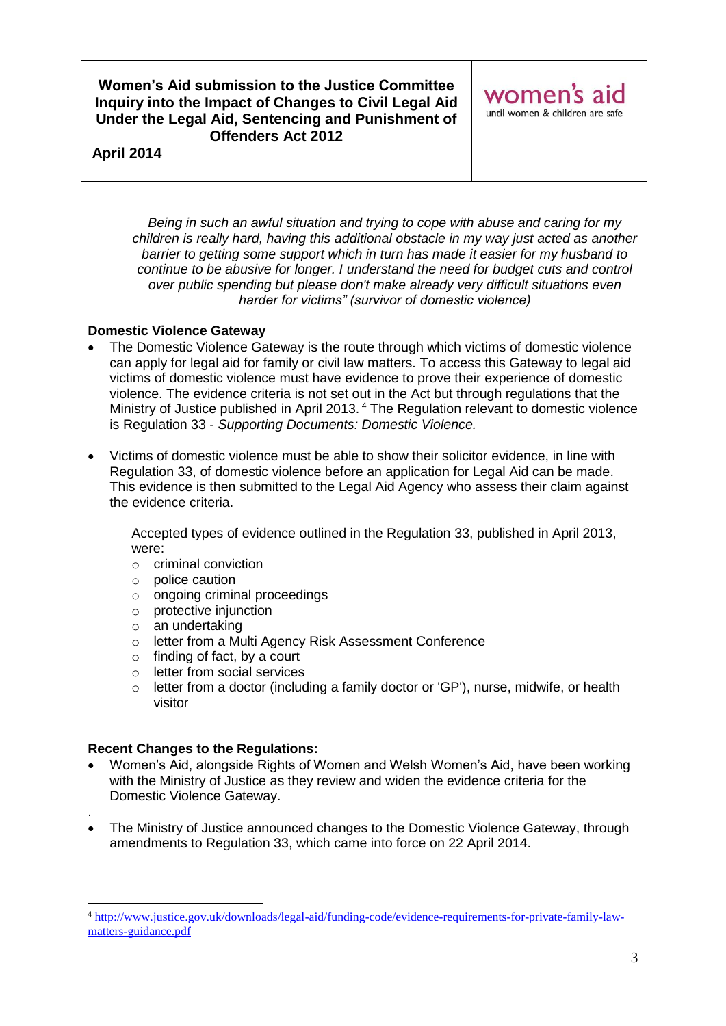**April 2014**

*Being in such an awful situation and trying to cope with abuse and caring for my children is really hard, having this additional obstacle in my way just acted as another barrier to getting some support which in turn has made it easier for my husband to continue to be abusive for longer. I understand the need for budget cuts and control over public spending but please don't make already very difficult situations even harder for victims" (survivor of domestic violence)*

## **Domestic Violence Gateway**

- The Domestic Violence Gateway is the route through which victims of domestic violence can apply for legal aid for family or civil law matters. To access this Gateway to legal aid victims of domestic violence must have evidence to prove their experience of domestic violence. The evidence criteria is not set out in the Act but through regulations that the Ministry of Justice published in April 2013.<sup>4</sup> The Regulation relevant to domestic violence is Regulation 33 - *Supporting Documents: Domestic Violence.*
- Victims of domestic violence must be able to show their solicitor evidence, in line with Regulation 33, of domestic violence before an application for Legal Aid can be made. This evidence is then submitted to the Legal Aid Agency who assess their claim against the evidence criteria.

Accepted types of evidence outlined in the Regulation 33, published in April 2013, were:

- o criminal conviction
- o police caution
- o ongoing criminal proceedings
- o protective injunction
- o an undertaking
- o letter from a Multi Agency Risk Assessment Conference
- o finding of fact, by a court
- o letter from social services
- o letter from a doctor (including a family doctor or 'GP'), nurse, midwife, or health visitor

## **Recent Changes to the Regulations:**

- Women's Aid, alongside Rights of Women and Welsh Women's Aid, have been working with the Ministry of Justice as they review and widen the evidence criteria for the Domestic Violence Gateway.
- . The Ministry of Justice announced changes to the Domestic Violence Gateway, through amendments to Regulation 33, which came into force on 22 April 2014.

<sup>1</sup> <sup>4</sup> [http://www.justice.gov.uk/downloads/legal-aid/funding-code/evidence-requirements-for-private-family-law](http://www.justice.gov.uk/downloads/legal-aid/funding-code/evidence-requirements-for-private-family-law-matters-guidance.pdf)[matters-guidance.pdf](http://www.justice.gov.uk/downloads/legal-aid/funding-code/evidence-requirements-for-private-family-law-matters-guidance.pdf)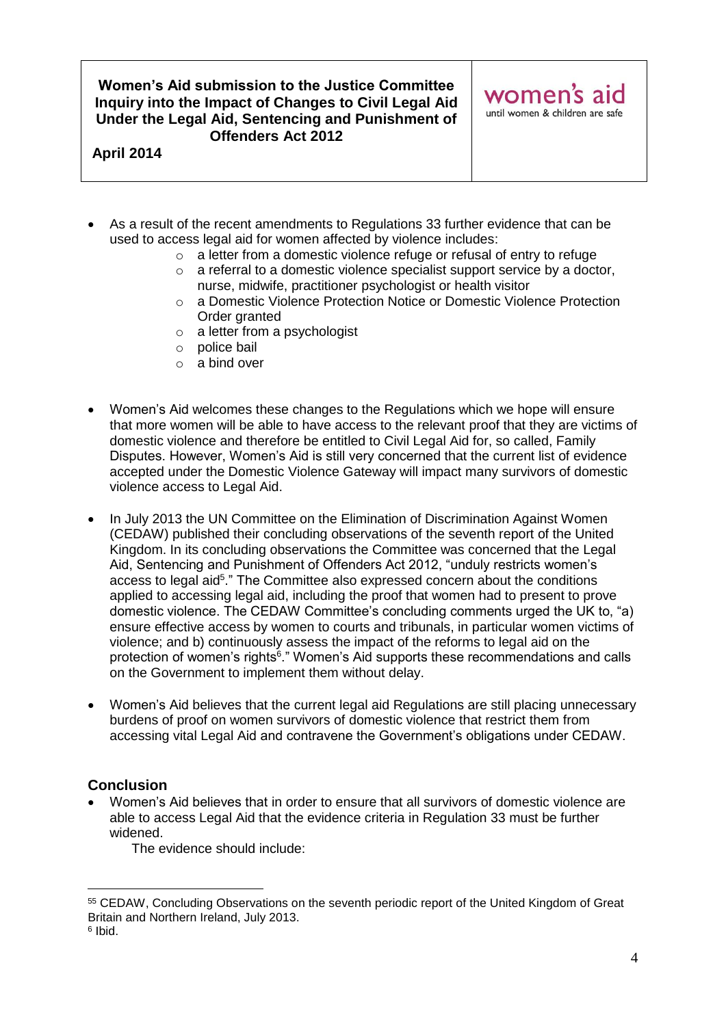**April 2014**

- As a result of the recent amendments to Regulations 33 further evidence that can be used to access legal aid for women affected by violence includes:
	- o a letter from a domestic violence refuge or refusal of entry to refuge
	- o a referral to a domestic violence specialist support service by a doctor, nurse, midwife, practitioner psychologist or health visitor
	- o a Domestic Violence Protection Notice or Domestic Violence Protection Order granted
	- o a letter from a psychologist
	- o police bail
	- o a bind over
- Women's Aid welcomes these changes to the Regulations which we hope will ensure that more women will be able to have access to the relevant proof that they are victims of domestic violence and therefore be entitled to Civil Legal Aid for, so called, Family Disputes. However, Women's Aid is still very concerned that the current list of evidence accepted under the Domestic Violence Gateway will impact many survivors of domestic violence access to Legal Aid.
- In July 2013 the UN Committee on the Elimination of Discrimination Against Women (CEDAW) published their concluding observations of the seventh report of the United Kingdom. In its concluding observations the Committee was concerned that the Legal Aid, Sentencing and Punishment of Offenders Act 2012, "unduly restricts women's access to legal aid<sup>5</sup>." The Committee also expressed concern about the conditions applied to accessing legal aid, including the proof that women had to present to prove domestic violence. The CEDAW Committee's concluding comments urged the UK to, "a) ensure effective access by women to courts and tribunals, in particular women victims of violence; and b) continuously assess the impact of the reforms to legal aid on the protection of women's rights<sup>6</sup>." Women's Aid supports these recommendations and calls on the Government to implement them without delay.
- Women's Aid believes that the current legal aid Regulations are still placing unnecessary burdens of proof on women survivors of domestic violence that restrict them from accessing vital Legal Aid and contravene the Government's obligations under CEDAW.

# **Conclusion**

<u>.</u>

 Women's Aid believes that in order to ensure that all survivors of domestic violence are able to access Legal Aid that the evidence criteria in Regulation 33 must be further widened.

The evidence should include:

<sup>55</sup> CEDAW. Concluding Observations on the seventh periodic report of the United Kingdom of Great Britain and Northern Ireland, July 2013. 6 Ibid.